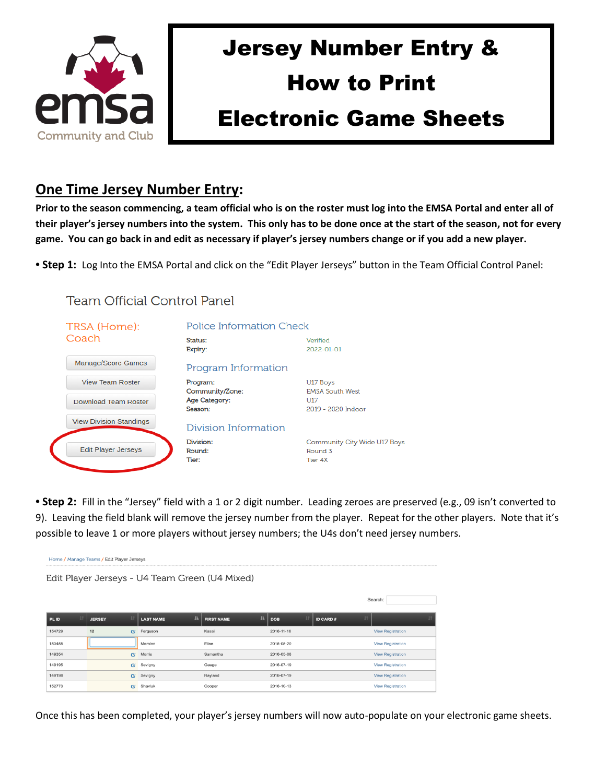

## Jersey Number Entry & How to Print Electronic Game Sheets

## **One Time Jersey Number Entry:**

**Prior to the season commencing, a team official who is on the roster must log into the EMSA Portal and enter all of their player's jersey numbers into the system. This only has to be done once at the start of the season, not for every game. You can go back in and edit as necessary if player's jersey numbers change or if you add a new player.**

**• Step 1:** Log Into the EMSA Portal and click on the "Edit Player Jerseys" button in the Team Official Control Panel:

## **Team Official Control Panel**



**• Step 2:** Fill in the "Jersey" field with a 1 or 2 digit number. Leading zeroes are preserved (e.g., 09 isn't converted to 9). Leaving the field blank will remove the jersey number from the player. Repeat for the other players. Note that it's possible to leave 1 or more players without jersey numbers; the U4s don't need jersey numbers.

| Home / Manage Teams / Edit Player Jerseys      |                    |                         |                        |                         |                          |  |  |  |  |  |  |  |  |
|------------------------------------------------|--------------------|-------------------------|------------------------|-------------------------|--------------------------|--|--|--|--|--|--|--|--|
| Edit Player Jerseys - U4 Team Green (U4 Mixed) |                    |                         |                        |                         |                          |  |  |  |  |  |  |  |  |
|                                                |                    |                         |                        |                         |                          |  |  |  |  |  |  |  |  |
|                                                |                    |                         |                        |                         | Search:                  |  |  |  |  |  |  |  |  |
| 11<br>PL ID                                    | <b>JERSEY</b>      | IE.<br><b>LAST NAME</b> | 理<br><b>FIRST NAME</b> | <b>DOB</b><br>ID CARD # | IT.                      |  |  |  |  |  |  |  |  |
| 154729                                         | 12<br>$\mathbb{Z}$ | Ferguson                | Kasai                  | 2016-11-16              | <b>View Registration</b> |  |  |  |  |  |  |  |  |
| 153458                                         |                    | Morales                 | Elise                  | 2016-05-20              | <b>View Registration</b> |  |  |  |  |  |  |  |  |
| 149354                                         | $\mathbb{Z}^2$     | Morris                  | Samantha               | 2016-05-08              | <b>View Registration</b> |  |  |  |  |  |  |  |  |
| 149195                                         | $\mathbf{G}$       | Sevigny                 | Gauge                  | 2016-07-19              | <b>View Registration</b> |  |  |  |  |  |  |  |  |
| 149198                                         | <b>Pi</b>          | Sevigny                 | Rayland                | 2016-07-19              | <b>View Registration</b> |  |  |  |  |  |  |  |  |
| 152773                                         | ø                  | Shavluk                 | Cooper                 | 2016-10-13              | <b>View Registration</b> |  |  |  |  |  |  |  |  |

Once this has been completed, your player's jersey numbers will now auto-populate on your electronic game sheets.